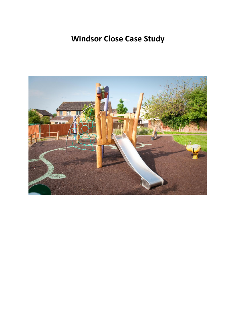# **Windsor Close Case Study**

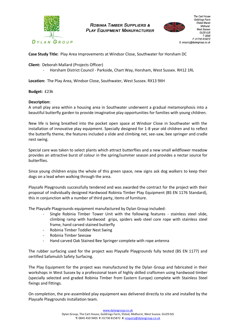

**ROBINIA TIMBER SUPPLIERS & PLAY EQUIPMENT MANUFACTURER** 



**Case Study Title:** Play Area Improvements at Windsor Close, Southwater for Horsham DC

**Client:** Deborah Mallard (Projects Officer)

- Horsham District Council - Parkside, Chart Way, Horsham, West Sussex. RH12 1RL

**Location:** The Play Area, Windsor Close, Southwater, West Sussex. RX13 9XH

**Budget:** £23k

## **Description:**

A small play area within a housing area in Southwater underwent a gradual metamorphosis into a beautiful butterfly garden to provide imaginative play opportunities for families with young children.

New life is being breathed into the pocket open space at Windsor Close in Southwater with the installation of innovative play equipment. Specially designed for 1-8 year old children and to reflect the butterfly theme, the features included a slide and climbing net, see-saw, bee springer and cradle nest swing.

Special care was taken to select plants which attract butterflies and a new small wildflower meadow provides an attractive burst of colour in the spring/summer season and provides a nectar source for butterflies.

Since young children enjoy the whole of this green space, new signs ask dog walkers to keep their dogs on a lead when walking through the area.

Playsafe Playgrounds successfully tendered and was awarded the contract for the project with their proposal of individually designed Hardwood Robinia Timber Play Equipment (BS EN 1176 Standard), this in conjunction with a number of third party, items of furniture.

The Playsafe Playgrounds equipment manufactured by Dylan Group included:

- Single Robinia Timber Tower Unit with the following features stainless steel slide, climbing ramp with hardwood grips, spiders web steel core rope with stainless steel frame, hand carved stained butterfly
- Robinia Timber Toddler Nest Swing
- Robinia Timber Seesaw
- Hand carved Oak Stained Bee Springer complete with rope antenna

The rubber surfacing used for the project was Playsafe Playgrounds fully tested (BS EN 1177) and certified Safamulch Safety Surfacing.

The Play Equipment for the project was manufactured by the Dylan Group and fabricated in their workshops in West Sussex by a professional team of highly skilled craftsmen using hardwood timber (specially selected and graded Robinia Timber from Eastern Europe) complete with Stainless Steel fixings and fittings.

On completion, the pre-assembled play equipment was delivered directly to site and installed by the Playsafe Playgrounds installation team.